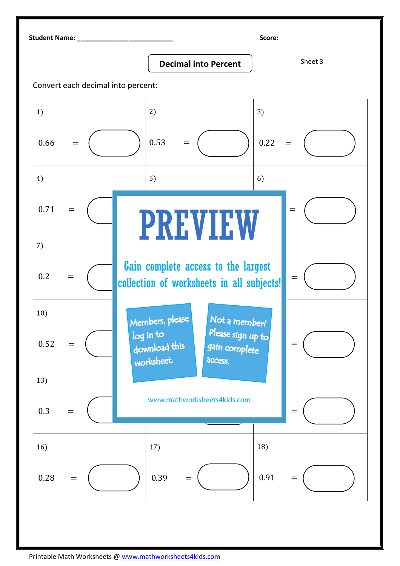